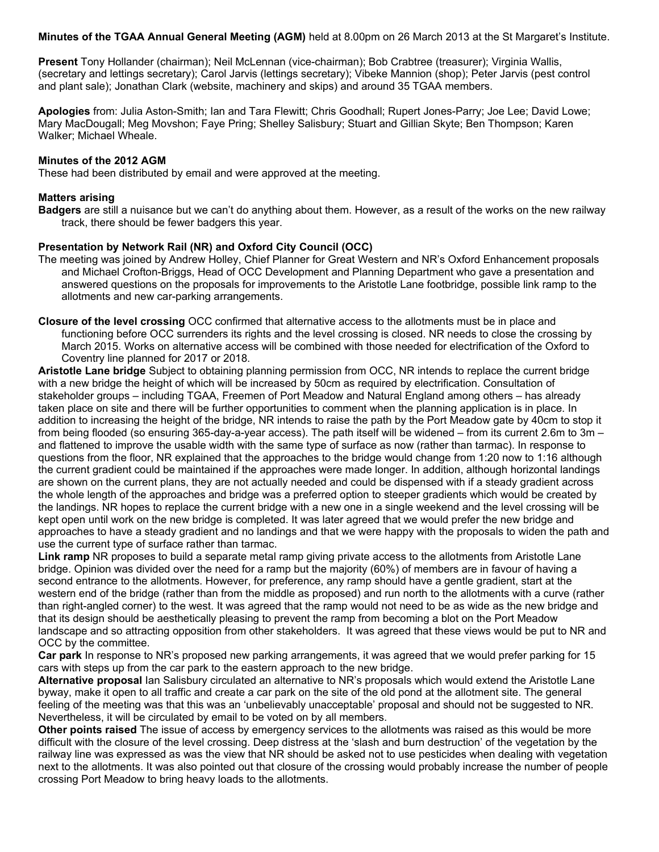**Minutes of the TGAA Annual General Meeting (AGM)** held at 8.00pm on 26 March 2013 at the St Margaret's Institute.

**Present** Tony Hollander (chairman); Neil McLennan (vice-chairman); Bob Crabtree (treasurer); Virginia Wallis, (secretary and lettings secretary); Carol Jarvis (lettings secretary); Vibeke Mannion (shop); Peter Jarvis (pest control and plant sale); Jonathan Clark (website, machinery and skips) and around 35 TGAA members.

**Apologies** from: Julia Aston-Smith; Ian and Tara Flewitt; Chris Goodhall; Rupert Jones-Parry; Joe Lee; David Lowe; Mary MacDougall; Meg Movshon; Faye Pring; Shelley Salisbury; Stuart and Gillian Skyte; Ben Thompson; Karen Walker; Michael Wheale.

## **Minutes of the 2012 AGM**

These had been distributed by email and were approved at the meeting.

## **Matters arising**

**Badgers** are still a nuisance but we can't do anything about them. However, as a result of the works on the new railway track, there should be fewer badgers this year.

# **Presentation by Network Rail (NR) and Oxford City Council (OCC)**

The meeting was joined by Andrew Holley, Chief Planner for Great Western and NR's Oxford Enhancement proposals and Michael Crofton-Briggs, Head of OCC Development and Planning Department who gave a presentation and answered questions on the proposals for improvements to the Aristotle Lane footbridge, possible link ramp to the allotments and new car-parking arrangements.

**Closure of the level crossing** OCC confirmed that alternative access to the allotments must be in place and functioning before OCC surrenders its rights and the level crossing is closed. NR needs to close the crossing by March 2015. Works on alternative access will be combined with those needed for electrification of the Oxford to Coventry line planned for 2017 or 2018.

**Aristotle Lane bridge** Subject to obtaining planning permission from OCC, NR intends to replace the current bridge with a new bridge the height of which will be increased by 50cm as required by electrification. Consultation of stakeholder groups – including TGAA, Freemen of Port Meadow and Natural England among others – has already taken place on site and there will be further opportunities to comment when the planning application is in place. In addition to increasing the height of the bridge, NR intends to raise the path by the Port Meadow gate by 40cm to stop it from being flooded (so ensuring 365-day-a-year access). The path itself will be widened – from its current 2.6m to 3m – and flattened to improve the usable width with the same type of surface as now (rather than tarmac). In response to questions from the floor, NR explained that the approaches to the bridge would change from 1:20 now to 1:16 although the current gradient could be maintained if the approaches were made longer. In addition, although horizontal landings are shown on the current plans, they are not actually needed and could be dispensed with if a steady gradient across the whole length of the approaches and bridge was a preferred option to steeper gradients which would be created by the landings. NR hopes to replace the current bridge with a new one in a single weekend and the level crossing will be kept open until work on the new bridge is completed. It was later agreed that we would prefer the new bridge and approaches to have a steady gradient and no landings and that we were happy with the proposals to widen the path and use the current type of surface rather than tarmac.

**Link ramp** NR proposes to build a separate metal ramp giving private access to the allotments from Aristotle Lane bridge. Opinion was divided over the need for a ramp but the majority (60%) of members are in favour of having a second entrance to the allotments. However, for preference, any ramp should have a gentle gradient, start at the western end of the bridge (rather than from the middle as proposed) and run north to the allotments with a curve (rather than right-angled corner) to the west. It was agreed that the ramp would not need to be as wide as the new bridge and that its design should be aesthetically pleasing to prevent the ramp from becoming a blot on the Port Meadow landscape and so attracting opposition from other stakeholders. It was agreed that these views would be put to NR and OCC by the committee.

**Car park** In response to NR's proposed new parking arrangements, it was agreed that we would prefer parking for 15 cars with steps up from the car park to the eastern approach to the new bridge.

**Alternative proposal** Ian Salisbury circulated an alternative to NR's proposals which would extend the Aristotle Lane byway, make it open to all traffic and create a car park on the site of the old pond at the allotment site. The general feeling of the meeting was that this was an 'unbelievably unacceptable' proposal and should not be suggested to NR. Nevertheless, it will be circulated by email to be voted on by all members.

**Other points raised** The issue of access by emergency services to the allotments was raised as this would be more difficult with the closure of the level crossing. Deep distress at the 'slash and burn destruction' of the vegetation by the railway line was expressed as was the view that NR should be asked not to use pesticides when dealing with vegetation next to the allotments. It was also pointed out that closure of the crossing would probably increase the number of people crossing Port Meadow to bring heavy loads to the allotments.